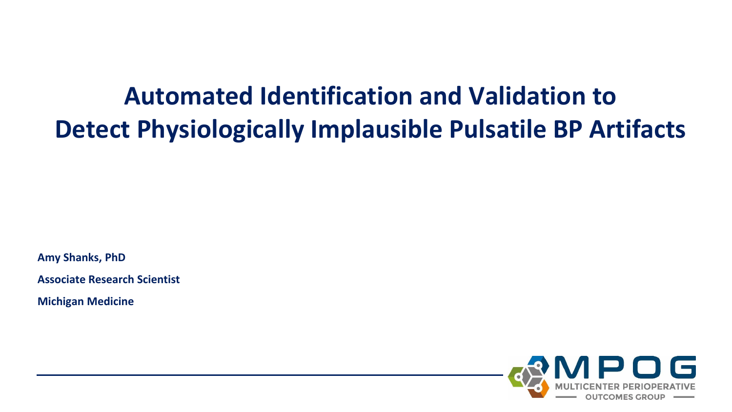# **Automated Identification and Validation to Detect Physiologically Implausible Pulsatile BP Artifacts**

**Amy Shanks, PhD**

**Associate Research Scientist**

**Michigan Medicine**

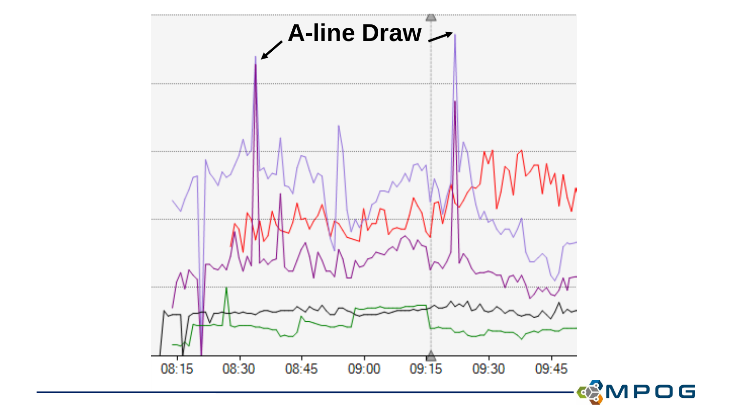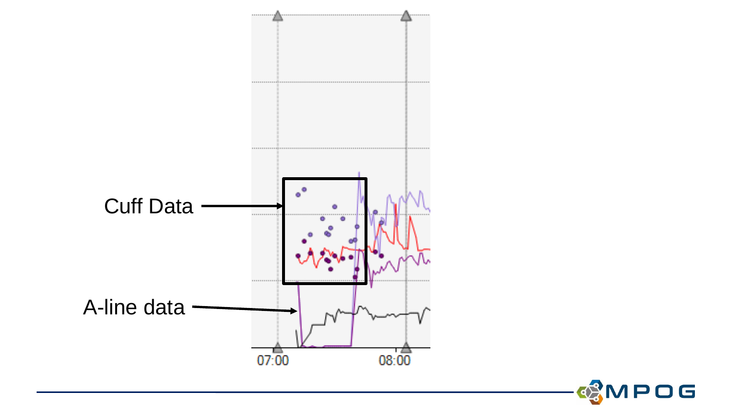

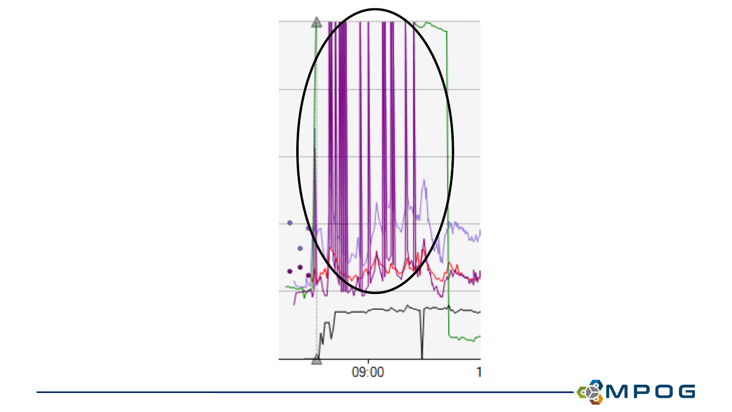

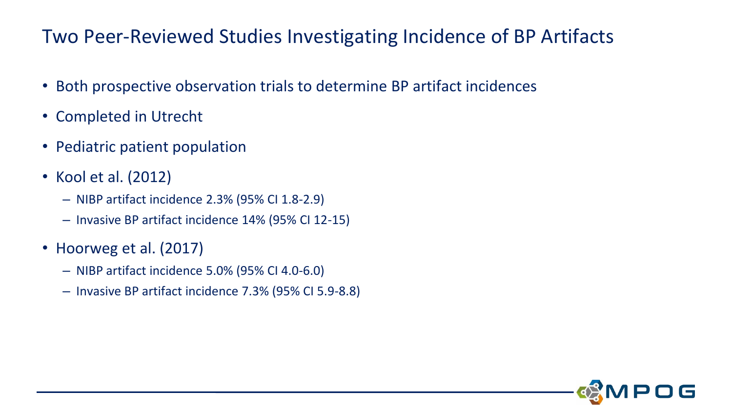#### Two Peer-Reviewed Studies Investigating Incidence of BP Artifacts

- Both prospective observation trials to determine BP artifact incidences
- Completed in Utrecht
- Pediatric patient population
- Kool et al. (2012)
	- NIBP artifact incidence 2.3% (95% CI 1.8-2.9)
	- Invasive BP artifact incidence 14% (95% CI 12-15)
- Hoorweg et al. (2017)
	- NIBP artifact incidence 5.0% (95% CI 4.0-6.0)
	- Invasive BP artifact incidence 7.3% (95% CI 5.9-8.8)

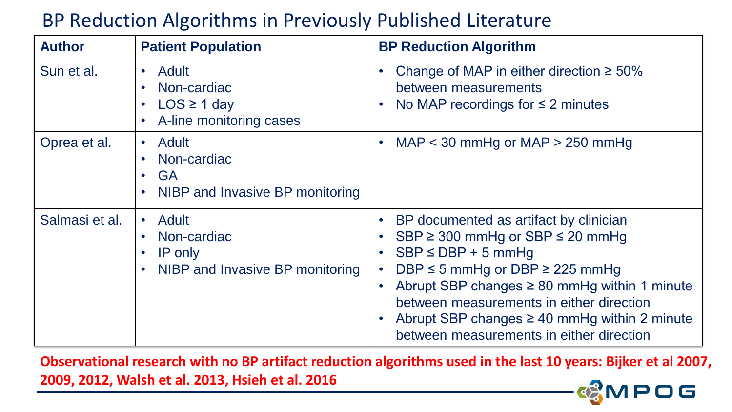## BP Reduction Algorithms in Previously Published Literature

| <b>Author</b>  | <b>Patient Population</b>                                                                                              | <b>BP Reduction Algorithm</b>                                                                                                                                                                                                                                                                                                                                                                                                |  |
|----------------|------------------------------------------------------------------------------------------------------------------------|------------------------------------------------------------------------------------------------------------------------------------------------------------------------------------------------------------------------------------------------------------------------------------------------------------------------------------------------------------------------------------------------------------------------------|--|
| Sun et al.     | <b>Adult</b><br>$\bullet$<br>Non-cardiac<br>$\bullet$<br>$LOS \ge 1$ day<br>$\bullet$<br>A-line monitoring cases       | Change of MAP in either direction $\geq 50\%$<br>$\bullet$<br>between measurements<br>No MAP recordings for $\leq$ 2 minutes<br>$\bullet$                                                                                                                                                                                                                                                                                    |  |
| Oprea et al.   | Adult<br>$\bullet$<br>Non-cardiac<br><b>GA</b><br>$\bullet$<br>NIBP and Invasive BP monitoring<br>$\bullet$            | MAP $<$ 30 mmHg or MAP $>$ 250 mmHg<br>$\bullet$                                                                                                                                                                                                                                                                                                                                                                             |  |
| Salmasi et al. | Adult<br>$\bullet$<br>Non-cardiac<br>$\bullet$<br>IP only<br>$\bullet$<br>NIBP and Invasive BP monitoring<br>$\bullet$ | BP documented as artifact by clinician<br>$\bullet$<br>$SBP \geq 300$ mmHg or $SBP \leq 20$ mmHg<br>$\bullet$<br>$SBP \le DBP + 5$ mmHg<br>$\bullet$<br>DBP $\leq$ 5 mmHg or DBP $\geq$ 225 mmHg<br>$\bullet$<br>Abrupt SBP changes $\geq 80$ mmHg within 1 minute<br>$\bullet$<br>between measurements in either direction<br>Abrupt SBP changes $\geq$ 40 mmHg within 2 minute<br>between measurements in either direction |  |

**Observational research with no BP artifact reduction algorithms used in the last 10 years: Bijker et al 2007, 2009, 2012, Walsh et al. 2013, Hsieh et al. 2016** $\overline{\mathsf{O}}$  G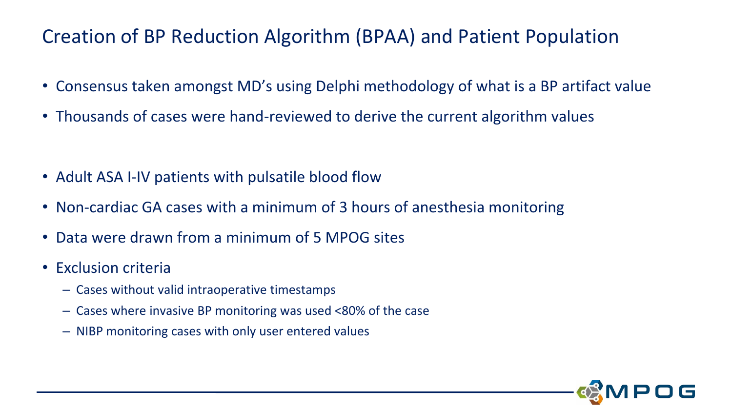## Creation of BP Reduction Algorithm (BPAA) and Patient Population

- Consensus taken amongst MD's using Delphi methodology of what is a BP artifact value
- Thousands of cases were hand-reviewed to derive the current algorithm values

- Adult ASA I-IV patients with pulsatile blood flow
- Non-cardiac GA cases with a minimum of 3 hours of anesthesia monitoring
- Data were drawn from a minimum of 5 MPOG sites
- Exclusion criteria
	- Cases without valid intraoperative timestamps
	- Cases where invasive BP monitoring was used <80% of the case
	- NIBP monitoring cases with only user entered values

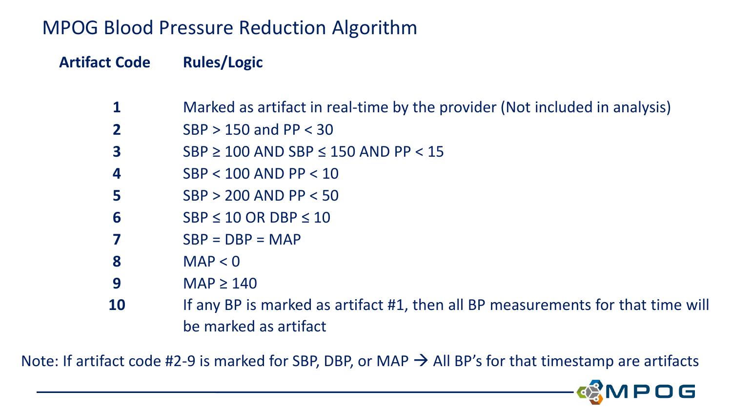### MPOG Blood Pressure Reduction Algorithm

#### **Artifact Code Rules/Logic**

- Marked as artifact in real-time by the provider (Not included in analysis)
- SBP > 150 and PP < 30
- SBP ≥ 100 AND SBP ≤ 150 AND PP < 15
- SBP < 100 AND PP < 10
- SBP > 200 AND PP < 50
- SBP ≤ 10 OR DBP ≤ 10
- SBP = DBP = MAP
- MAP < 0
- MAP ≥ 140
- If any BP is marked as artifact #1, then all BP measurements for that time will be marked as artifact

Note: If artifact code #2-9 is marked for SBP, DBP, or MAP  $\rightarrow$  All BP's for that timestamp are artifacts

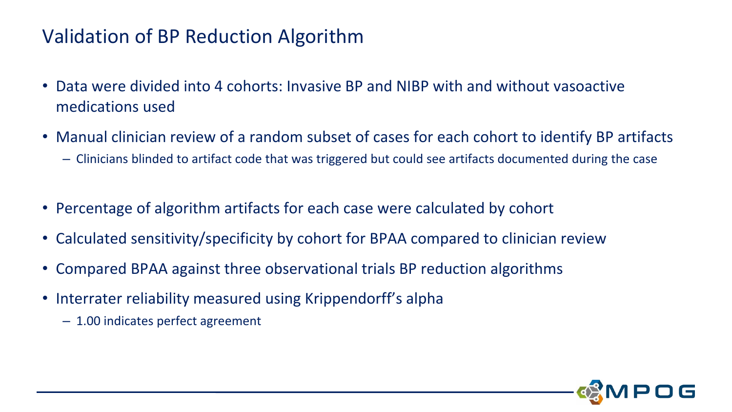## Validation of BP Reduction Algorithm

- Data were divided into 4 cohorts: Invasive BP and NIBP with and without vasoactive medications used
- Manual clinician review of a random subset of cases for each cohort to identify BP artifacts
	- Clinicians blinded to artifact code that was triggered but could see artifacts documented during the case
- Percentage of algorithm artifacts for each case were calculated by cohort
- Calculated sensitivity/specificity by cohort for BPAA compared to clinician review
- Compared BPAA against three observational trials BP reduction algorithms
- Interrater reliability measured using Krippendorff's alpha
	- 1.00 indicates perfect agreement

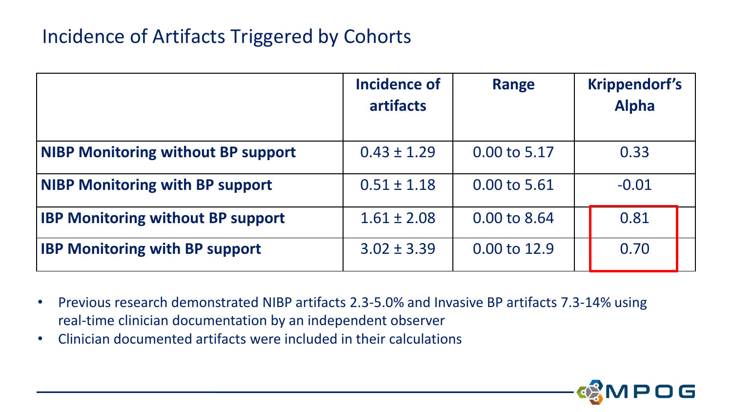### Incidence of Artifacts Triggered by Cohorts

|                                           | <b>Incidence of</b><br><b>artifacts</b> | <b>Range</b> | <b>Krippendorf's</b><br><b>Alpha</b> |
|-------------------------------------------|-----------------------------------------|--------------|--------------------------------------|
| <b>NIBP Monitoring without BP support</b> | $0.43 \pm 1.29$                         | 0.00 to 5.17 | 0.33                                 |
| <b>NIBP Monitoring with BP support</b>    | $0.51 \pm 1.18$                         | 0.00 to 5.61 | $-0.01$                              |
| <b>IBP Monitoring without BP support</b>  | $1.61 \pm 2.08$                         | 0.00 to 8.64 | 0.81                                 |
| <b>IBP Monitoring with BP support</b>     | $3.02 \pm 3.39$                         | 0.00 to 12.9 | 0.70                                 |

- Previous research demonstrated NIBP artifacts 2.3-5.0% and Invasive BP artifacts 7.3-14% using real-time clinician documentation by an independent observer
- Clinician documented artifacts were included in their calculations

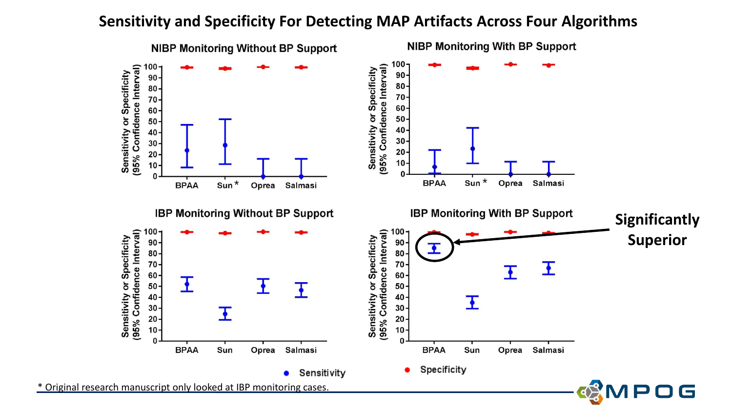#### **Sensitivity and Specificity For Detecting MAP Artifacts Across Four Algorithms**

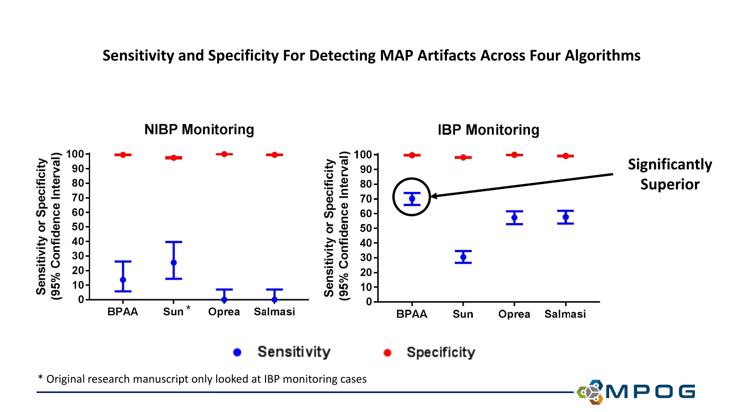#### **Sensitivity and Specificity For Detecting MAP Artifacts Across Four Algorithms**



POG

\* Original research manuscript only looked at IBP monitoring cases